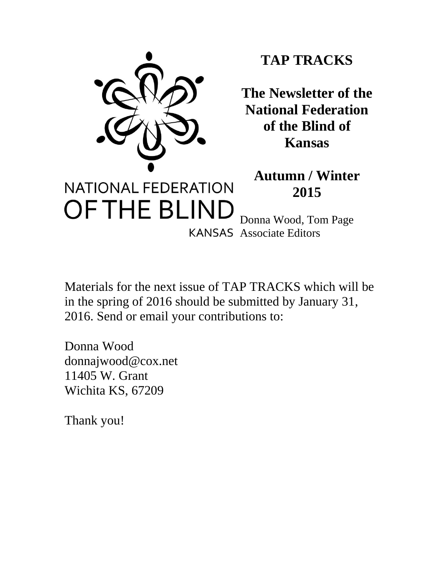

# **TAP TRACKS**

**The Newsletter of the National Federation of the Blind of Kansas**

**Autumn / Winter 2015**

OF THE BLIND Donna Wood, Tom Page KANSAS Associate Editors

Materials for the next issue of TAP TRACKS which will be in the spring of 2016 should be submitted by January 31, 2016. Send or email your contributions to:

Donna Wood donnajwood@cox.net 11405 W. Grant Wichita KS, 67209

Thank you!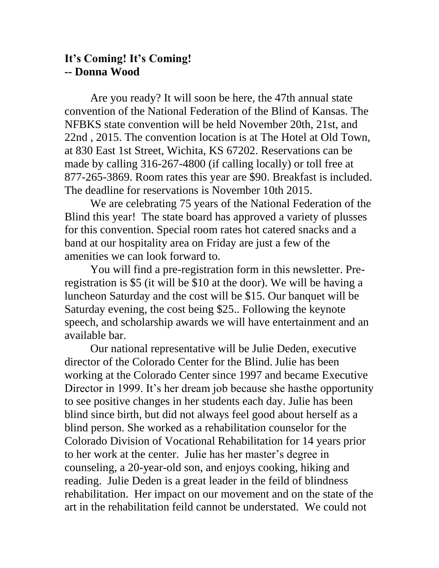## **It's Coming! It's Coming! -- Donna Wood**

Are you ready? It will soon be here, the 47th annual state convention of the National Federation of the Blind of Kansas. The NFBKS state convention will be held November 20th, 21st, and 22nd , 2015. The convention location is at The Hotel at Old Town, at 830 East 1st Street, Wichita, KS 67202. Reservations can be made by calling 316-267-4800 (if calling locally) or toll free at 877-265-3869. Room rates this year are \$90. Breakfast is included. The deadline for reservations is November 10th 2015.

We are celebrating 75 years of the National Federation of the Blind this year! The state board has approved a variety of plusses for this convention. Special room rates hot catered snacks and a band at our hospitality area on Friday are just a few of the amenities we can look forward to.

You will find a pre-registration form in this newsletter. Preregistration is \$5 (it will be \$10 at the door). We will be having a luncheon Saturday and the cost will be \$15. Our banquet will be Saturday evening, the cost being \$25.. Following the keynote speech, and scholarship awards we will have entertainment and an available bar.

Our national representative will be Julie Deden, executive director of the Colorado Center for the Blind. Julie has been working at the Colorado Center since 1997 and became Executive Director in 1999. It's her dream job because she hasthe opportunity to see positive changes in her students each day. Julie has been blind since birth, but did not always feel good about herself as a blind person. She worked as a rehabilitation counselor for the Colorado Division of Vocational Rehabilitation for 14 years prior to her work at the center. Julie has her master's degree in counseling, a 20-year-old son, and enjoys cooking, hiking and reading. Julie Deden is a great leader in the feild of blindness rehabilitation. Her impact on our movement and on the state of the art in the rehabilitation feild cannot be understated. We could not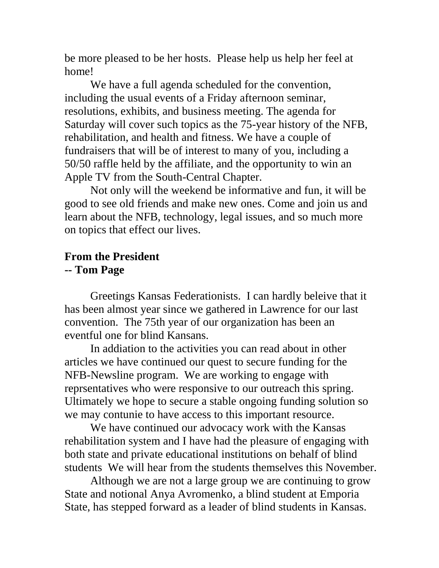be more pleased to be her hosts. Please help us help her feel at home!

We have a full agenda scheduled for the convention, including the usual events of a Friday afternoon seminar, resolutions, exhibits, and business meeting. The agenda for Saturday will cover such topics as the 75-year history of the NFB, rehabilitation, and health and fitness. We have a couple of fundraisers that will be of interest to many of you, including a 50/50 raffle held by the affiliate, and the opportunity to win an Apple TV from the South-Central Chapter.

Not only will the weekend be informative and fun, it will be good to see old friends and make new ones. Come and join us and learn about the NFB, technology, legal issues, and so much more on topics that effect our lives.

## **From the President -- Tom Page**

Greetings Kansas Federationists. I can hardly beleive that it has been almost year since we gathered in Lawrence for our last convention. The 75th year of our organization has been an eventful one for blind Kansans.

In addiation to the activities you can read about in other articles we have continued our quest to secure funding for the NFB-Newsline program. We are working to engage with reprsentatives who were responsive to our outreach this spring. Ultimately we hope to secure a stable ongoing funding solution so we may contunie to have access to this important resource.

We have continued our advocacy work with the Kansas rehabilitation system and I have had the pleasure of engaging with both state and private educational institutions on behalf of blind students We will hear from the students themselves this November.

Although we are not a large group we are continuing to grow State and notional Anya Avromenko, a blind student at Emporia State, has stepped forward as a leader of blind students in Kansas.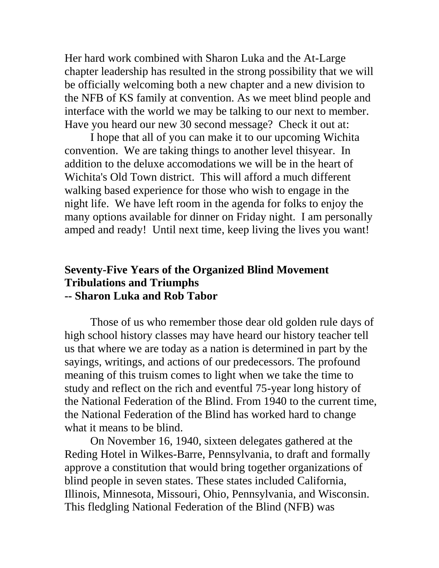Her hard work combined with Sharon Luka and the At-Large chapter leadership has resulted in the strong possibility that we will be officially welcoming both a new chapter and a new division to the NFB of KS family at convention. As we meet blind people and interface with the world we may be talking to our next to member. Have you heard our new 30 second message? Check it out at:

I hope that all of you can make it to our upcoming Wichita convention. We are taking things to another level thisyear. In addition to the deluxe accomodations we will be in the heart of Wichita's Old Town district. This will afford a much different walking based experience for those who wish to engage in the night life. We have left room in the agenda for folks to enjoy the many options available for dinner on Friday night. I am personally amped and ready! Until next time, keep living the lives you want!

## **Seventy-Five Years of the Organized Blind Movement Tribulations and Triumphs -- Sharon Luka and Rob Tabor**

Those of us who remember those dear old golden rule days of high school history classes may have heard our history teacher tell us that where we are today as a nation is determined in part by the sayings, writings, and actions of our predecessors. The profound meaning of this truism comes to light when we take the time to study and reflect on the rich and eventful 75-year long history of the National Federation of the Blind. From 1940 to the current time, the National Federation of the Blind has worked hard to change what it means to be blind.

On November 16, 1940, sixteen delegates gathered at the Reding Hotel in Wilkes-Barre, Pennsylvania, to draft and formally approve a constitution that would bring together organizations of blind people in seven states. These states included California, Illinois, Minnesota, Missouri, Ohio, Pennsylvania, and Wisconsin. This fledgling National Federation of the Blind (NFB) was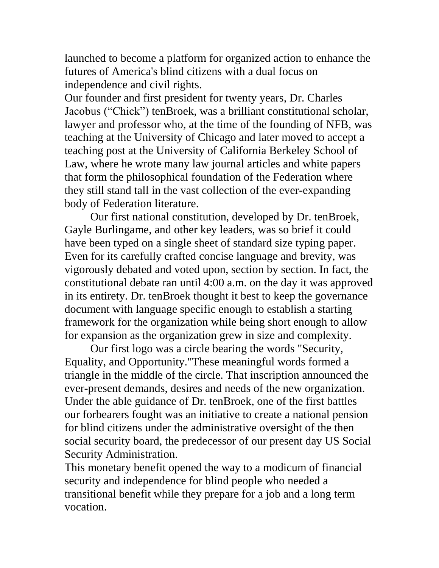launched to become a platform for organized action to enhance the futures of America's blind citizens with a dual focus on independence and civil rights.

Our founder and first president for twenty years, Dr. Charles Jacobus ("Chick") tenBroek, was a brilliant constitutional scholar, lawyer and professor who, at the time of the founding of NFB, was teaching at the University of Chicago and later moved to accept a teaching post at the University of California Berkeley School of Law, where he wrote many law journal articles and white papers that form the philosophical foundation of the Federation where they still stand tall in the vast collection of the ever-expanding body of Federation literature.

Our first national constitution, developed by Dr. tenBroek, Gayle Burlingame, and other key leaders, was so brief it could have been typed on a single sheet of standard size typing paper. Even for its carefully crafted concise language and brevity, was vigorously debated and voted upon, section by section. In fact, the constitutional debate ran until 4:00 a.m. on the day it was approved in its entirety. Dr. tenBroek thought it best to keep the governance document with language specific enough to establish a starting framework for the organization while being short enough to allow for expansion as the organization grew in size and complexity.

Our first logo was a circle bearing the words "Security, Equality, and Opportunity."These meaningful words formed a triangle in the middle of the circle. That inscription announced the ever-present demands, desires and needs of the new organization. Under the able guidance of Dr. tenBroek, one of the first battles our forbearers fought was an initiative to create a national pension for blind citizens under the administrative oversight of the then social security board, the predecessor of our present day US Social Security Administration.

This monetary benefit opened the way to a modicum of financial security and independence for blind people who needed a transitional benefit while they prepare for a job and a long term vocation.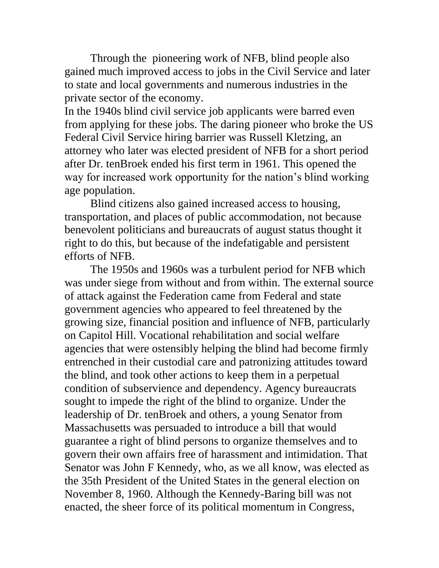Through the pioneering work of NFB, blind people also gained much improved access to jobs in the Civil Service and later to state and local governments and numerous industries in the private sector of the economy.

In the 1940s blind civil service job applicants were barred even from applying for these jobs. The daring pioneer who broke the US Federal Civil Service hiring barrier was Russell Kletzing, an attorney who later was elected president of NFB for a short period after Dr. tenBroek ended his first term in 1961. This opened the way for increased work opportunity for the nation's blind working age population.

Blind citizens also gained increased access to housing, transportation, and places of public accommodation, not because benevolent politicians and bureaucrats of august status thought it right to do this, but because of the indefatigable and persistent efforts of NFB.

The 1950s and 1960s was a turbulent period for NFB which was under siege from without and from within. The external source of attack against the Federation came from Federal and state government agencies who appeared to feel threatened by the growing size, financial position and influence of NFB, particularly on Capitol Hill. Vocational rehabilitation and social welfare agencies that were ostensibly helping the blind had become firmly entrenched in their custodial care and patronizing attitudes toward the blind, and took other actions to keep them in a perpetual condition of subservience and dependency. Agency bureaucrats sought to impede the right of the blind to organize. Under the leadership of Dr. tenBroek and others, a young Senator from Massachusetts was persuaded to introduce a bill that would guarantee a right of blind persons to organize themselves and to govern their own affairs free of harassment and intimidation. That Senator was John F Kennedy, who, as we all know, was elected as the 35th President of the United States in the general election on November 8, 1960. Although the Kennedy-Baring bill was not enacted, the sheer force of its political momentum in Congress,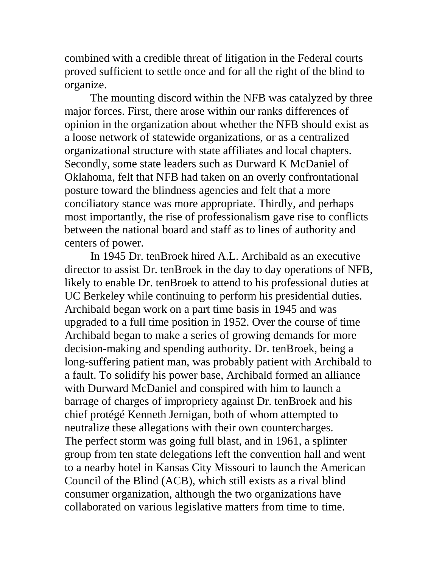combined with a credible threat of litigation in the Federal courts proved sufficient to settle once and for all the right of the blind to organize.

The mounting discord within the NFB was catalyzed by three major forces. First, there arose within our ranks differences of opinion in the organization about whether the NFB should exist as a loose network of statewide organizations, or as a centralized organizational structure with state affiliates and local chapters. Secondly, some state leaders such as Durward K McDaniel of Oklahoma, felt that NFB had taken on an overly confrontational posture toward the blindness agencies and felt that a more conciliatory stance was more appropriate. Thirdly, and perhaps most importantly, the rise of professionalism gave rise to conflicts between the national board and staff as to lines of authority and centers of power.

In 1945 Dr. tenBroek hired A.L. Archibald as an executive director to assist Dr. tenBroek in the day to day operations of NFB, likely to enable Dr. tenBroek to attend to his professional duties at UC Berkeley while continuing to perform his presidential duties. Archibald began work on a part time basis in 1945 and was upgraded to a full time position in 1952. Over the course of time Archibald began to make a series of growing demands for more decision-making and spending authority. Dr. tenBroek, being a long-suffering patient man, was probably patient with Archibald to a fault. To solidify his power base, Archibald formed an alliance with Durward McDaniel and conspired with him to launch a barrage of charges of impropriety against Dr. tenBroek and his chief protégé Kenneth Jernigan, both of whom attempted to neutralize these allegations with their own countercharges. The perfect storm was going full blast, and in 1961, a splinter group from ten state delegations left the convention hall and went to a nearby hotel in Kansas City Missouri to launch the American Council of the Blind (ACB), which still exists as a rival blind consumer organization, although the two organizations have collaborated on various legislative matters from time to time.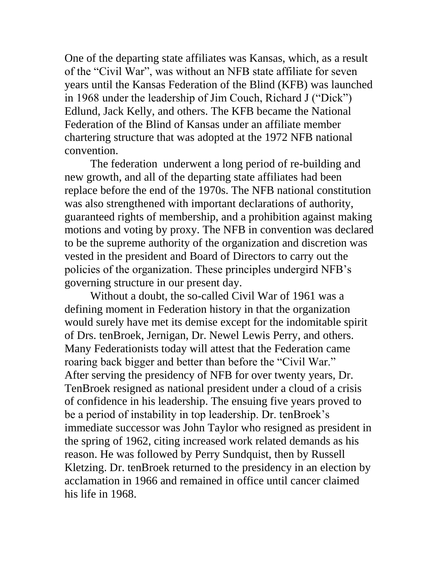One of the departing state affiliates was Kansas, which, as a result of the "Civil War", was without an NFB state affiliate for seven years until the Kansas Federation of the Blind (KFB) was launched in 1968 under the leadership of Jim Couch, Richard J ("Dick") Edlund, Jack Kelly, and others. The KFB became the National Federation of the Blind of Kansas under an affiliate member chartering structure that was adopted at the 1972 NFB national convention.

The federation underwent a long period of re-building and new growth, and all of the departing state affiliates had been replace before the end of the 1970s. The NFB national constitution was also strengthened with important declarations of authority, guaranteed rights of membership, and a prohibition against making motions and voting by proxy. The NFB in convention was declared to be the supreme authority of the organization and discretion was vested in the president and Board of Directors to carry out the policies of the organization. These principles undergird NFB's governing structure in our present day.

Without a doubt, the so-called Civil War of 1961 was a defining moment in Federation history in that the organization would surely have met its demise except for the indomitable spirit of Drs. tenBroek, Jernigan, Dr. Newel Lewis Perry, and others. Many Federationists today will attest that the Federation came roaring back bigger and better than before the "Civil War." After serving the presidency of NFB for over twenty years, Dr. TenBroek resigned as national president under a cloud of a crisis of confidence in his leadership. The ensuing five years proved to be a period of instability in top leadership. Dr. tenBroek's immediate successor was John Taylor who resigned as president in the spring of 1962, citing increased work related demands as his reason. He was followed by Perry Sundquist, then by Russell Kletzing. Dr. tenBroek returned to the presidency in an election by acclamation in 1966 and remained in office until cancer claimed his life in 1968.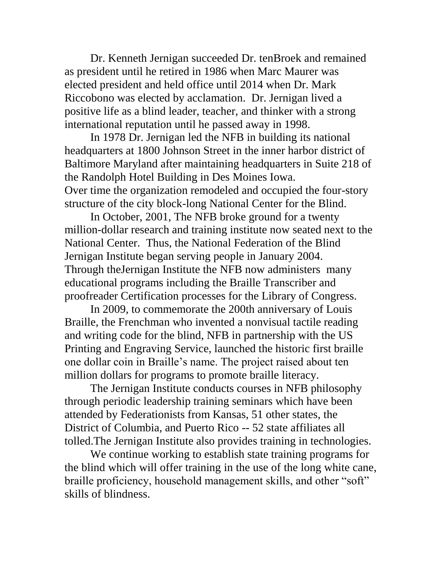Dr. Kenneth Jernigan succeeded Dr. tenBroek and remained as president until he retired in 1986 when Marc Maurer was elected president and held office until 2014 when Dr. Mark Riccobono was elected by acclamation. Dr. Jernigan lived a positive life as a blind leader, teacher, and thinker with a strong international reputation until he passed away in 1998.

In 1978 Dr. Jernigan led the NFB in building its national headquarters at 1800 Johnson Street in the inner harbor district of Baltimore Maryland after maintaining headquarters in Suite 218 of the Randolph Hotel Building in Des Moines Iowa. Over time the organization remodeled and occupied the four-story structure of the city block-long National Center for the Blind.

In October, 2001, The NFB broke ground for a twenty million-dollar research and training institute now seated next to the National Center. Thus, the National Federation of the Blind Jernigan Institute began serving people in January 2004. Through theJernigan Institute the NFB now administers many educational programs including the Braille Transcriber and proofreader Certification processes for the Library of Congress.

In 2009, to commemorate the 200th anniversary of Louis Braille, the Frenchman who invented a nonvisual tactile reading and writing code for the blind, NFB in partnership with the US Printing and Engraving Service, launched the historic first braille one dollar coin in Braille's name. The project raised about ten million dollars for programs to promote braille literacy.

The Jernigan Institute conducts courses in NFB philosophy through periodic leadership training seminars which have been attended by Federationists from Kansas, 51 other states, the District of Columbia, and Puerto Rico -- 52 state affiliates all tolled.The Jernigan Institute also provides training in technologies.

We continue working to establish state training programs for the blind which will offer training in the use of the long white cane, braille proficiency, household management skills, and other "soft" skills of blindness.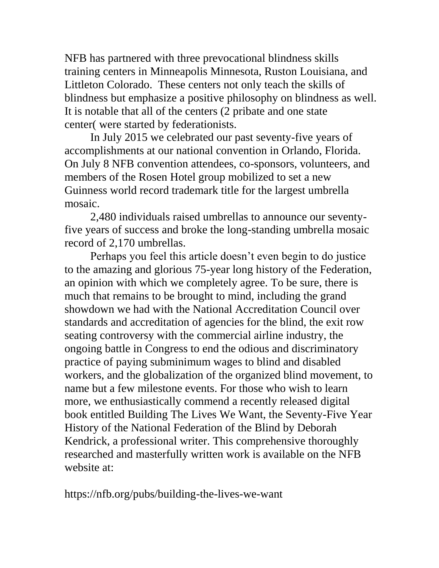NFB has partnered with three prevocational blindness skills training centers in Minneapolis Minnesota, Ruston Louisiana, and Littleton Colorado. These centers not only teach the skills of blindness but emphasize a positive philosophy on blindness as well. It is notable that all of the centers (2 pribate and one state center( were started by federationists.

In July 2015 we celebrated our past seventy-five years of accomplishments at our national convention in Orlando, Florida. On July 8 NFB convention attendees, co-sponsors, volunteers, and members of the Rosen Hotel group mobilized to set a new Guinness world record trademark title for the largest umbrella mosaic.

2,480 individuals raised umbrellas to announce our seventyfive years of success and broke the long-standing umbrella mosaic record of 2,170 umbrellas.

Perhaps you feel this article doesn't even begin to do justice to the amazing and glorious 75-year long history of the Federation, an opinion with which we completely agree. To be sure, there is much that remains to be brought to mind, including the grand showdown we had with the National Accreditation Council over standards and accreditation of agencies for the blind, the exit row seating controversy with the commercial airline industry, the ongoing battle in Congress to end the odious and discriminatory practice of paying subminimum wages to blind and disabled workers, and the globalization of the organized blind movement, to name but a few milestone events. For those who wish to learn more, we enthusiastically commend a recently released digital book entitled Building The Lives We Want, the Seventy-Five Year History of the National Federation of the Blind by Deborah Kendrick, a professional writer. This comprehensive thoroughly researched and masterfully written work is available on the NFB website at:

https://nfb.org/pubs/building-the-lives-we-want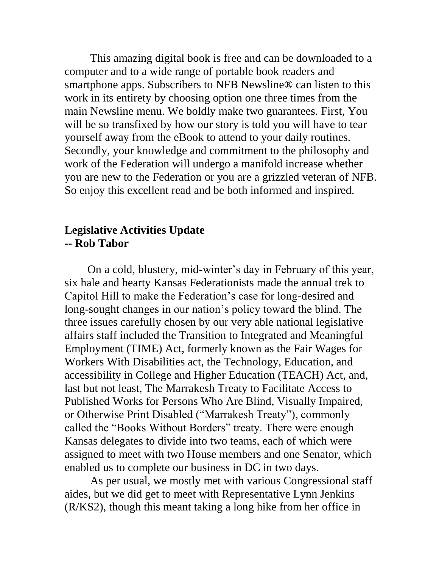This amazing digital book is free and can be downloaded to a computer and to a wide range of portable book readers and smartphone apps. Subscribers to NFB Newsline® can listen to this work in its entirety by choosing option one three times from the main Newsline menu. We boldly make two guarantees. First, You will be so transfixed by how our story is told you will have to tear yourself away from the eBook to attend to your daily routines. Secondly, your knowledge and commitment to the philosophy and work of the Federation will undergo a manifold increase whether you are new to the Federation or you are a grizzled veteran of NFB. So enjoy this excellent read and be both informed and inspired.

#### **Legislative Activities Update -- Rob Tabor**

On a cold, blustery, mid-winter's day in February of this year, six hale and hearty Kansas Federationists made the annual trek to Capitol Hill to make the Federation's case for long-desired and long-sought changes in our nation's policy toward the blind. The three issues carefully chosen by our very able national legislative affairs staff included the Transition to Integrated and Meaningful Employment (TIME) Act, formerly known as the Fair Wages for Workers With Disabilities act, the Technology, Education, and accessibility in College and Higher Education (TEACH) Act, and, last but not least, The Marrakesh Treaty to Facilitate Access to Published Works for Persons Who Are Blind, Visually Impaired, or Otherwise Print Disabled ("Marrakesh Treaty"), commonly called the "Books Without Borders" treaty. There were enough Kansas delegates to divide into two teams, each of which were assigned to meet with two House members and one Senator, which enabled us to complete our business in DC in two days.

As per usual, we mostly met with various Congressional staff aides, but we did get to meet with Representative Lynn Jenkins (R/KS2), though this meant taking a long hike from her office in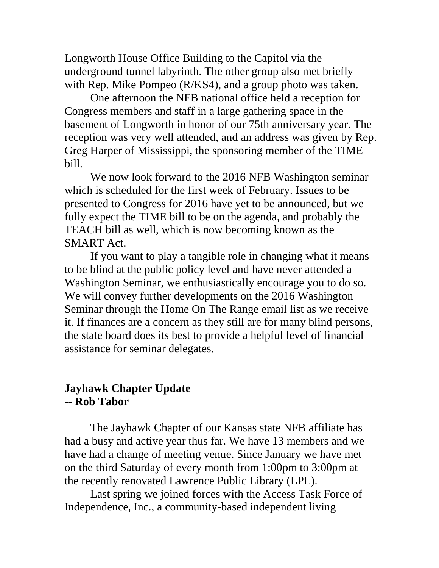Longworth House Office Building to the Capitol via the underground tunnel labyrinth. The other group also met briefly with Rep. Mike Pompeo (R/KS4), and a group photo was taken.

One afternoon the NFB national office held a reception for Congress members and staff in a large gathering space in the basement of Longworth in honor of our 75th anniversary year. The reception was very well attended, and an address was given by Rep. Greg Harper of Mississippi, the sponsoring member of the TIME bill.

We now look forward to the 2016 NFB Washington seminar which is scheduled for the first week of February. Issues to be presented to Congress for 2016 have yet to be announced, but we fully expect the TIME bill to be on the agenda, and probably the TEACH bill as well, which is now becoming known as the SMART Act.

If you want to play a tangible role in changing what it means to be blind at the public policy level and have never attended a Washington Seminar, we enthusiastically encourage you to do so. We will convey further developments on the 2016 Washington Seminar through the Home On The Range email list as we receive it. If finances are a concern as they still are for many blind persons, the state board does its best to provide a helpful level of financial assistance for seminar delegates.

## **Jayhawk Chapter Update -- Rob Tabor**

The Jayhawk Chapter of our Kansas state NFB affiliate has had a busy and active year thus far. We have 13 members and we have had a change of meeting venue. Since January we have met on the third Saturday of every month from 1:00pm to 3:00pm at the recently renovated Lawrence Public Library (LPL).

Last spring we joined forces with the Access Task Force of Independence, Inc., a community-based independent living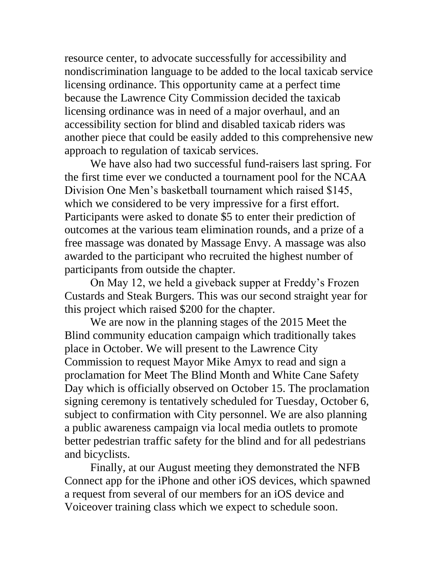resource center, to advocate successfully for accessibility and nondiscrimination language to be added to the local taxicab service licensing ordinance. This opportunity came at a perfect time because the Lawrence City Commission decided the taxicab licensing ordinance was in need of a major overhaul, and an accessibility section for blind and disabled taxicab riders was another piece that could be easily added to this comprehensive new approach to regulation of taxicab services.

We have also had two successful fund-raisers last spring. For the first time ever we conducted a tournament pool for the NCAA Division One Men's basketball tournament which raised \$145, which we considered to be very impressive for a first effort. Participants were asked to donate \$5 to enter their prediction of outcomes at the various team elimination rounds, and a prize of a free massage was donated by Massage Envy. A massage was also awarded to the participant who recruited the highest number of participants from outside the chapter.

On May 12, we held a giveback supper at Freddy's Frozen Custards and Steak Burgers. This was our second straight year for this project which raised \$200 for the chapter.

We are now in the planning stages of the 2015 Meet the Blind community education campaign which traditionally takes place in October. We will present to the Lawrence City Commission to request Mayor Mike Amyx to read and sign a proclamation for Meet The Blind Month and White Cane Safety Day which is officially observed on October 15. The proclamation signing ceremony is tentatively scheduled for Tuesday, October 6, subject to confirmation with City personnel. We are also planning a public awareness campaign via local media outlets to promote better pedestrian traffic safety for the blind and for all pedestrians and bicyclists.

Finally, at our August meeting they demonstrated the NFB Connect app for the iPhone and other iOS devices, which spawned a request from several of our members for an iOS device and Voiceover training class which we expect to schedule soon.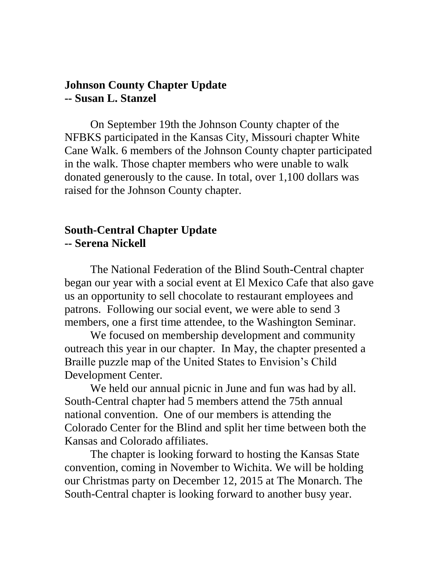#### **Johnson County Chapter Update -- Susan L. Stanzel**

On September 19th the Johnson County chapter of the NFBKS participated in the Kansas City, Missouri chapter White Cane Walk. 6 members of the Johnson County chapter participated in the walk. Those chapter members who were unable to walk donated generously to the cause. In total, over 1,100 dollars was raised for the Johnson County chapter.

### **South-Central Chapter Update -- Serena Nickell**

The National Federation of the Blind South-Central chapter began our year with a social event at El Mexico Cafe that also gave us an opportunity to sell chocolate to restaurant employees and patrons. Following our social event, we were able to send 3 members, one a first time attendee, to the Washington Seminar.

We focused on membership development and community outreach this year in our chapter. In May, the chapter presented a Braille puzzle map of the United States to Envision's Child Development Center.

We held our annual picnic in June and fun was had by all. South-Central chapter had 5 members attend the 75th annual national convention. One of our members is attending the Colorado Center for the Blind and split her time between both the Kansas and Colorado affiliates.

The chapter is looking forward to hosting the Kansas State convention, coming in November to Wichita. We will be holding our Christmas party on December 12, 2015 at The Monarch. The South-Central chapter is looking forward to another busy year.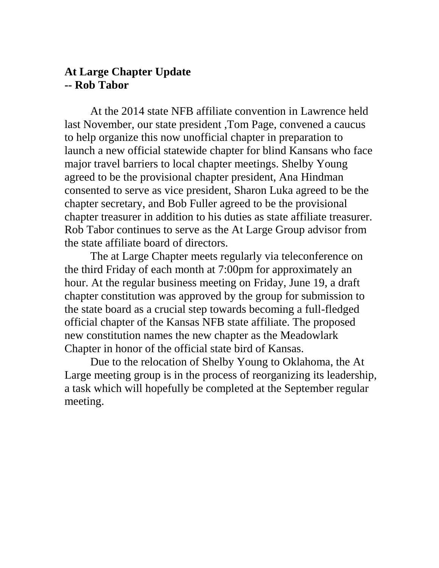#### **At Large Chapter Update -- Rob Tabor**

At the 2014 state NFB affiliate convention in Lawrence held last November, our state president ,Tom Page, convened a caucus to help organize this now unofficial chapter in preparation to launch a new official statewide chapter for blind Kansans who face major travel barriers to local chapter meetings. Shelby Young agreed to be the provisional chapter president, Ana Hindman consented to serve as vice president, Sharon Luka agreed to be the chapter secretary, and Bob Fuller agreed to be the provisional chapter treasurer in addition to his duties as state affiliate treasurer. Rob Tabor continues to serve as the At Large Group advisor from the state affiliate board of directors.

The at Large Chapter meets regularly via teleconference on the third Friday of each month at 7:00pm for approximately an hour. At the regular business meeting on Friday, June 19, a draft chapter constitution was approved by the group for submission to the state board as a crucial step towards becoming a full-fledged official chapter of the Kansas NFB state affiliate. The proposed new constitution names the new chapter as the Meadowlark Chapter in honor of the official state bird of Kansas.

Due to the relocation of Shelby Young to Oklahoma, the At Large meeting group is in the process of reorganizing its leadership, a task which will hopefully be completed at the September regular meeting.